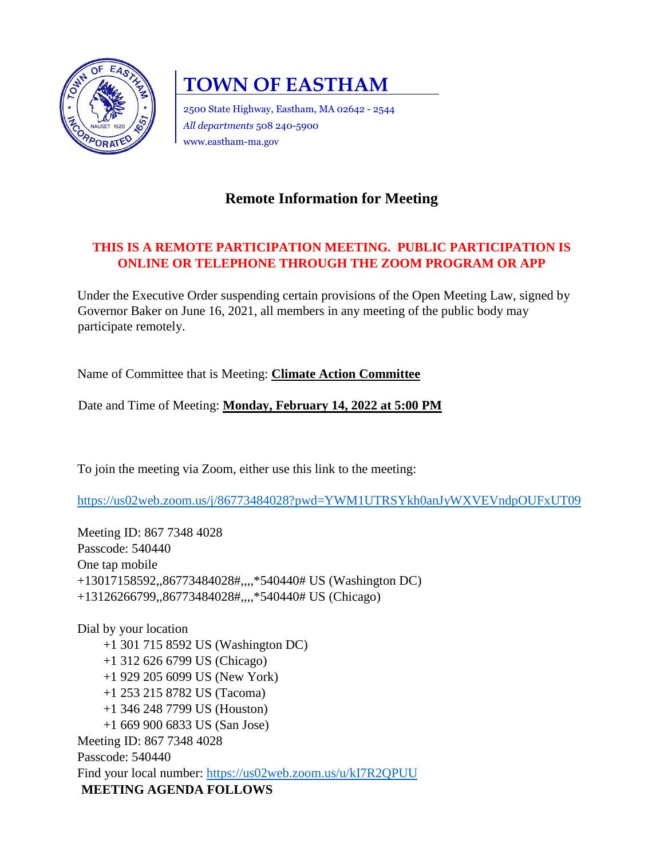

# **TOWN OF EASTHAM**

2500 State Highway, Eastham, MA 02642 - 2544 *All departments* 508 240-5900 www.eastham-ma.gov

# **Remote Information for Meeting**

## **THIS IS A REMOTE PARTICIPATION MEETING. PUBLIC PARTICIPATION IS ONLINE OR TELEPHONE THROUGH THE ZOOM PROGRAM OR APP**

Under the Executive Order suspending certain provisions of the Open Meeting Law, signed by Governor Baker on June 16, 2021, all members in any meeting of the public body may participate remotely.

Name of Committee that is Meeting: **Climate Action Committee** 

Date and Time of Meeting: **Monday, February 14, 2022 at 5:00 PM**

To join the meeting via Zoom, either use this link to the meeting:

<https://us02web.zoom.us/j/86773484028?pwd=YWM1UTRSYkh0anJyWXVEVndpOUFxUT09>

Meeting ID: 867 7348 4028 Passcode: 540440 One tap mobile +13017158592,,86773484028#,,,,\*540440# US (Washington DC) +13126266799,,86773484028#,,,,\*540440# US (Chicago)

Dial by your location +1 301 715 8592 US (Washington DC) +1 312 626 6799 US (Chicago) +1 929 205 6099 US (New York) +1 253 215 8782 US (Tacoma) +1 346 248 7799 US (Houston) +1 669 900 6833 US (San Jose) Meeting ID: 867 7348 4028 Passcode: 540440 Find your local number:<https://us02web.zoom.us/u/kI7R2QPUU> **MEETING AGENDA FOLLOWS**